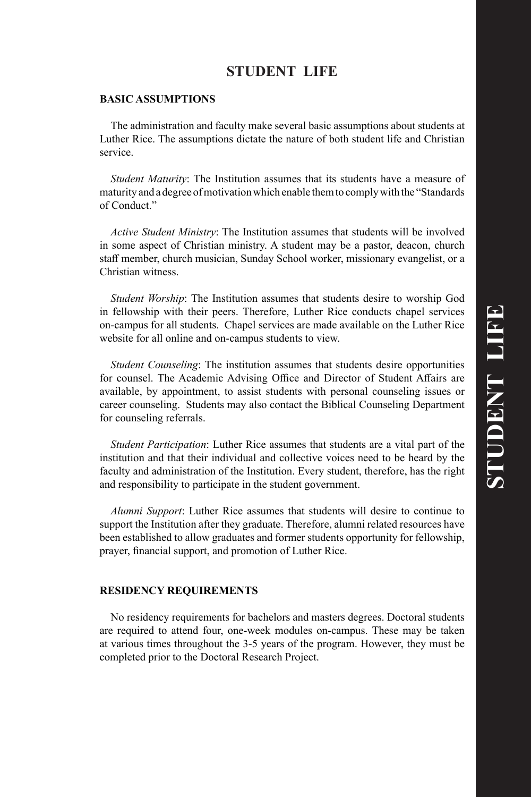# **STUDENT LIFE**

# **BASIC ASSUMPTIONS**

The administration and faculty make several basic assumptions about students at Luther Rice. The assumptions dictate the nature of both student life and Christian service.

*Student Maturity*: The Institution assumes that its students have a measure of maturity and a degree of motivation which enable them to comply with the "Standards of Conduct."

*Active Student Ministry*: The Institution assumes that students will be involved in some aspect of Christian ministry. A student may be a pastor, deacon, church staff member, church musician, Sunday School worker, missionary evangelist, or a Christian witness.

*Student Worship*: The Institution assumes that students desire to worship God in fellowship with their peers. Therefore, Luther Rice conducts chapel services on-campus for all students. Chapel services are made available on the Luther Rice website for all online and on-campus students to view.

*Student Counseling*: The institution assumes that students desire opportunities for counsel. The Academic Advising Office and Director of Student Affairs are available, by appointment, to assist students with personal counseling issues or career counseling. Students may also contact the Biblical Counseling Department for counseling referrals.

*Student Participation*: Luther Rice assumes that students are a vital part of the institution and that their individual and collective voices need to be heard by the faculty and administration of the Institution. Every student, therefore, has the right and responsibility to participate in the student government.

*Alumni Support*: Luther Rice assumes that students will desire to continue to support the Institution after they graduate. Therefore, alumni related resources have been established to allow graduates and former students opportunity for fellowship, prayer, financial support, and promotion of Luther Rice.

#### **RESIDENCY REQUIREMENTS**

No residency requirements for bachelors and masters degrees. Doctoral students are required to attend four, one-week modules on-campus. These may be taken at various times throughout the 3-5 years of the program. However, they must be completed prior to the Doctoral Research Project.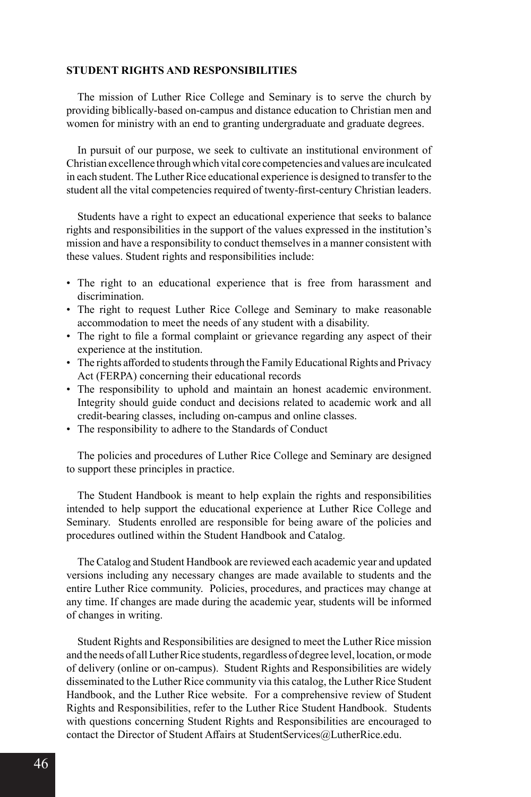#### **STUDENT RIGHTS AND RESPONSIBILITIES**

The mission of Luther Rice College and Seminary is to serve the church by providing biblically-based on-campus and distance education to Christian men and women for ministry with an end to granting undergraduate and graduate degrees.

In pursuit of our purpose, we seek to cultivate an institutional environment of Christian excellence through which vital core competencies and values are inculcated in each student. The Luther Rice educational experience is designed to transfer to the student all the vital competencies required of twenty-first-century Christian leaders.

Students have a right to expect an educational experience that seeks to balance rights and responsibilities in the support of the values expressed in the institution's mission and have a responsibility to conduct themselves in a manner consistent with these values. Student rights and responsibilities include:

- The right to an educational experience that is free from harassment and discrimination.
- The right to request Luther Rice College and Seminary to make reasonable accommodation to meet the needs of any student with a disability.
- The right to file a formal complaint or grievance regarding any aspect of their experience at the institution.
- The rights afforded to students through the Family Educational Rights and Privacy Act (FERPA) concerning their educational records
- The responsibility to uphold and maintain an honest academic environment. Integrity should guide conduct and decisions related to academic work and all credit-bearing classes, including on-campus and online classes.
- The responsibility to adhere to the Standards of Conduct

The policies and procedures of Luther Rice College and Seminary are designed to support these principles in practice.

The Student Handbook is meant to help explain the rights and responsibilities intended to help support the educational experience at Luther Rice College and Seminary. Students enrolled are responsible for being aware of the policies and procedures outlined within the Student Handbook and Catalog.

The Catalog and Student Handbook are reviewed each academic year and updated versions including any necessary changes are made available to students and the entire Luther Rice community. Policies, procedures, and practices may change at any time. If changes are made during the academic year, students will be informed of changes in writing.

Student Rights and Responsibilities are designed to meet the Luther Rice mission and the needs of all Luther Rice students, regardless of degree level, location, or mode of delivery (online or on-campus). Student Rights and Responsibilities are widely disseminated to the Luther Rice community via this catalog, the Luther Rice Student Handbook, and the Luther Rice website. For a comprehensive review of Student Rights and Responsibilities, refer to the Luther Rice Student Handbook. Students with questions concerning Student Rights and Responsibilities are encouraged to contact the Director of Student Affairs at StudentServices@LutherRice.edu.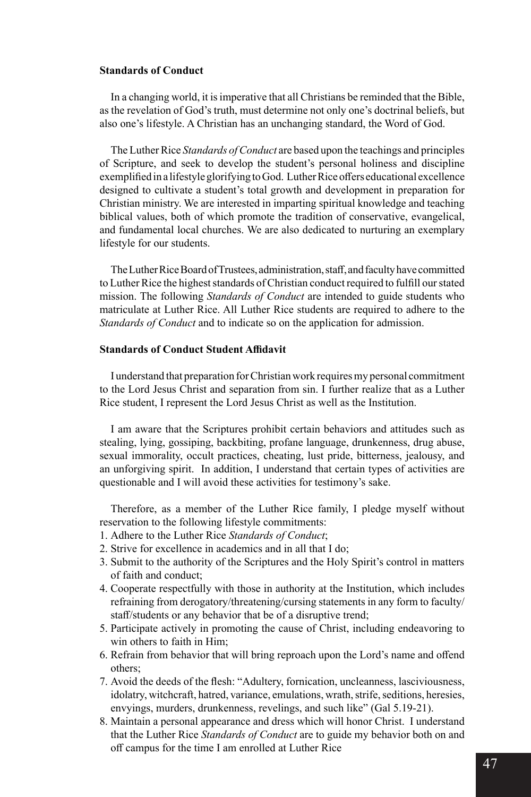#### **Standards of Conduct**

In a changing world, it is imperative that all Christians be reminded that the Bible, as the revelation of God's truth, must determine not only one's doctrinal beliefs, but also one's lifestyle. A Christian has an unchanging standard, the Word of God.

The Luther Rice *Standards of Conduct* are based upon the teachings and principles of Scripture, and seek to develop the student's personal holiness and discipline exemplified in a lifestyle glorifying to God. Luther Rice offers educational excellence designed to cultivate a student's total growth and development in preparation for Christian ministry. We are interested in imparting spiritual knowledge and teaching biblical values, both of which promote the tradition of conservative, evangelical, and fundamental local churches. We are also dedicated to nurturing an exemplary lifestyle for our students.

The Luther Rice Board of Trustees, administration, staff, and faculty have committed to Luther Rice the highest standards of Christian conduct required to fulfill our stated mission. The following *Standards of Conduct* are intended to guide students who matriculate at Luther Rice. All Luther Rice students are required to adhere to the *Standards of Conduct* and to indicate so on the application for admission.

# **Standards of Conduct Student Affidavit**

I understand that preparation for Christian work requires my personal commitment to the Lord Jesus Christ and separation from sin. I further realize that as a Luther Rice student, I represent the Lord Jesus Christ as well as the Institution.

I am aware that the Scriptures prohibit certain behaviors and attitudes such as stealing, lying, gossiping, backbiting, profane language, drunkenness, drug abuse, sexual immorality, occult practices, cheating, lust pride, bitterness, jealousy, and an unforgiving spirit. In addition, I understand that certain types of activities are questionable and I will avoid these activities for testimony's sake.

Therefore, as a member of the Luther Rice family, I pledge myself without reservation to the following lifestyle commitments:

- 1. Adhere to the Luther Rice *Standards of Conduct*;
- 2. Strive for excellence in academics and in all that I do;
- 3. Submit to the authority of the Scriptures and the Holy Spirit's control in matters of faith and conduct;
- 4. Cooperate respectfully with those in authority at the Institution, which includes refraining from derogatory/threatening/cursing statements in any form to faculty/ staff/students or any behavior that be of a disruptive trend;
- 5. Participate actively in promoting the cause of Christ, including endeavoring to win others to faith in Him;
- 6. Refrain from behavior that will bring reproach upon the Lord's name and offend others;
- 7. Avoid the deeds of the flesh: "Adultery, fornication, uncleanness, lasciviousness, idolatry, witchcraft, hatred, variance, emulations, wrath, strife, seditions, heresies, envyings, murders, drunkenness, revelings, and such like" (Gal 5.19-21).
- 8. Maintain a personal appearance and dress which will honor Christ. I understand that the Luther Rice *Standards of Conduct* are to guide my behavior both on and off campus for the time I am enrolled at Luther Rice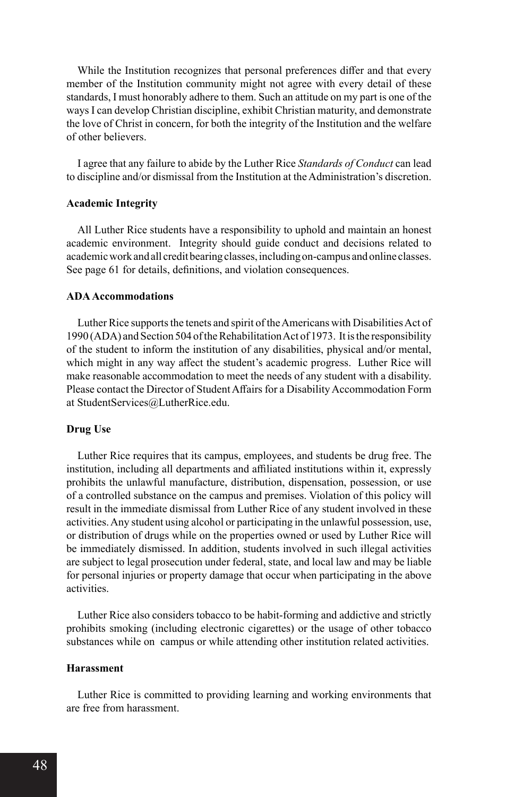While the Institution recognizes that personal preferences differ and that every member of the Institution community might not agree with every detail of these standards, I must honorably adhere to them. Such an attitude on my part is one of the ways I can develop Christian discipline, exhibit Christian maturity, and demonstrate the love of Christ in concern, for both the integrity of the Institution and the welfare of other believers.

I agree that any failure to abide by the Luther Rice *Standards of Conduct* can lead to discipline and/or dismissal from the Institution at the Administration's discretion.

# **Academic Integrity**

All Luther Rice students have a responsibility to uphold and maintain an honest academic environment. Integrity should guide conduct and decisions related to academic work and all credit bearing classes, including on-campus and online classes. See page 61 for details, definitions, and violation consequences.

#### **ADA Accommodations**

Luther Rice supports the tenets and spirit of the Americans with Disabilities Act of 1990 (ADA) and Section 504 of the Rehabilitation Act of 1973. It is the responsibility of the student to inform the institution of any disabilities, physical and/or mental, which might in any way affect the student's academic progress. Luther Rice will make reasonable accommodation to meet the needs of any student with a disability. Please contact the Director of Student Affairs for a Disability Accommodation Form at StudentServices@LutherRice.edu.

#### **Drug Use**

Luther Rice requires that its campus, employees, and students be drug free. The institution, including all departments and affiliated institutions within it, expressly prohibits the unlawful manufacture, distribution, dispensation, possession, or use of a controlled substance on the campus and premises. Violation of this policy will result in the immediate dismissal from Luther Rice of any student involved in these activities. Any student using alcohol or participating in the unlawful possession, use, or distribution of drugs while on the properties owned or used by Luther Rice will be immediately dismissed. In addition, students involved in such illegal activities are subject to legal prosecution under federal, state, and local law and may be liable for personal injuries or property damage that occur when participating in the above activities.

Luther Rice also considers tobacco to be habit-forming and addictive and strictly prohibits smoking (including electronic cigarettes) or the usage of other tobacco substances while on campus or while attending other institution related activities.

#### **Harassment**

Luther Rice is committed to providing learning and working environments that are free from harassment.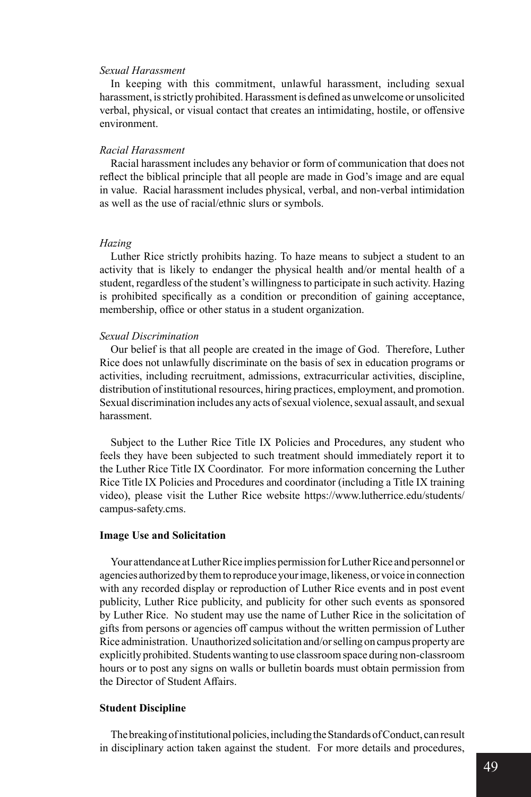### *Sexual Harassment*

In keeping with this commitment, unlawful harassment, including sexual harassment, is strictly prohibited. Harassment is defined as unwelcome or unsolicited verbal, physical, or visual contact that creates an intimidating, hostile, or offensive environment.

#### *Racial Harassment*

Racial harassment includes any behavior or form of communication that does not reflect the biblical principle that all people are made in God's image and are equal in value. Racial harassment includes physical, verbal, and non-verbal intimidation as well as the use of racial/ethnic slurs or symbols.

#### *Hazing*

Luther Rice strictly prohibits hazing. To haze means to subject a student to an activity that is likely to endanger the physical health and/or mental health of a student, regardless of the student's willingness to participate in such activity. Hazing is prohibited specifically as a condition or precondition of gaining acceptance, membership, office or other status in a student organization.

#### *Sexual Discrimination*

Our belief is that all people are created in the image of God. Therefore, Luther Rice does not unlawfully discriminate on the basis of sex in education programs or activities, including recruitment, admissions, extracurricular activities, discipline, distribution of institutional resources, hiring practices, employment, and promotion. Sexual discrimination includes any acts of sexual violence, sexual assault, and sexual harassment.

Subject to the Luther Rice Title IX Policies and Procedures, any student who feels they have been subjected to such treatment should immediately report it to the Luther Rice Title IX Coordinator. For more information concerning the Luther Rice Title IX Policies and Procedures and coordinator (including a Title IX training video), please visit the Luther Rice website https://www.lutherrice.edu/students/ campus-safety.cms.

#### **Image Use and Solicitation**

Your attendance at Luther Rice implies permission for Luther Rice and personnel or agencies authorized by them to reproduce your image, likeness, or voice in connection with any recorded display or reproduction of Luther Rice events and in post event publicity, Luther Rice publicity, and publicity for other such events as sponsored by Luther Rice. No student may use the name of Luther Rice in the solicitation of gifts from persons or agencies off campus without the written permission of Luther Rice administration. Unauthorized solicitation and/or selling on campus property are explicitly prohibited. Students wanting to use classroom space during non-classroom hours or to post any signs on walls or bulletin boards must obtain permission from the Director of Student Affairs.

### **Student Discipline**

The breaking of institutional policies, including the Standards of Conduct, can result in disciplinary action taken against the student. For more details and procedures,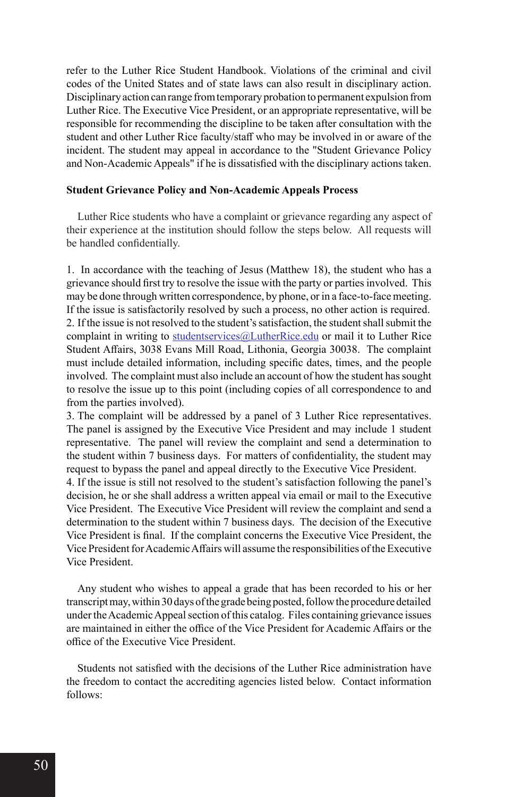refer to the Luther Rice Student Handbook. Violations of the criminal and civil codes of the United States and of state laws can also result in disciplinary action. Disciplinary action can range from temporary probation to permanent expulsion from Luther Rice. The Executive Vice President, or an appropriate representative, will be responsible for recommending the discipline to be taken after consultation with the student and other Luther Rice faculty/staff who may be involved in or aware of the incident. The student may appeal in accordance to the "Student Grievance Policy and Non-Academic Appeals" if he is dissatisfied with the disciplinary actions taken.

#### **Student Grievance Policy and Non-Academic Appeals Process**

Luther Rice students who have a complaint or grievance regarding any aspect of their experience at the institution should follow the steps below. All requests will be handled confidentially.

1. In accordance with the teaching of Jesus (Matthew 18), the student who has a grievance should first try to resolve the issue with the party or parties involved. This may be done through written correspondence, by phone, or in a face-to-face meeting. If the issue is satisfactorily resolved by such a process, no other action is required. 2. If the issue is not resolved to the student's satisfaction, the student shall submit the complaint in writing to studentservices@LutherRice.edu or mail it to Luther Rice Student Affairs, 3038 Evans Mill Road, Lithonia, Georgia 30038. The complaint must include detailed information, including specific dates, times, and the people involved. The complaint must also include an account of how the student has sought to resolve the issue up to this point (including copies of all correspondence to and from the parties involved).

3. The complaint will be addressed by a panel of 3 Luther Rice representatives. The panel is assigned by the Executive Vice President and may include 1 student representative. The panel will review the complaint and send a determination to the student within 7 business days. For matters of confidentiality, the student may request to bypass the panel and appeal directly to the Executive Vice President.

4. If the issue is still not resolved to the student's satisfaction following the panel's decision, he or she shall address a written appeal via email or mail to the Executive Vice President. The Executive Vice President will review the complaint and send a determination to the student within 7 business days. The decision of the Executive Vice President is final. If the complaint concerns the Executive Vice President, the Vice President for Academic Affairs will assume the responsibilities of the Executive Vice President.

Any student who wishes to appeal a grade that has been recorded to his or her transcript may, within 30 days of the grade being posted, follow the procedure detailed under the Academic Appeal section of this catalog. Files containing grievance issues are maintained in either the office of the Vice President for Academic Affairs or the office of the Executive Vice President.

Students not satisfied with the decisions of the Luther Rice administration have the freedom to contact the accrediting agencies listed below. Contact information follows: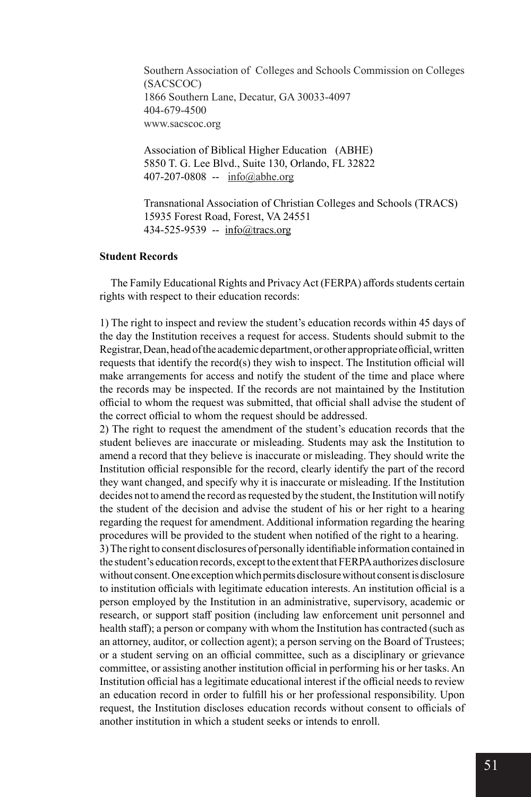Southern Association of Colleges and Schools Commission on Colleges (SACSCOC) 1866 Southern Lane, Decatur, GA 30033-4097 404-679-4500 www.sacscoc.org

Association of Biblical Higher Education (ABHE) 5850 T. G. Lee Blvd., Suite 130, Orlando, FL 32822 407-207-0808 -- info@abhe.org

Transnational Association of Christian Colleges and Schools (TRACS) 15935 Forest Road, Forest, VA 24551 434-525-9539 -- info@tracs.org

# **Student Records**

The Family Educational Rights and Privacy Act (FERPA) affords students certain rights with respect to their education records:

1) The right to inspect and review the student's education records within 45 days of the day the Institution receives a request for access. Students should submit to the Registrar, Dean, head of the academic department, or other appropriate official, written requests that identify the record(s) they wish to inspect. The Institution official will make arrangements for access and notify the student of the time and place where the records may be inspected. If the records are not maintained by the Institution official to whom the request was submitted, that official shall advise the student of the correct official to whom the request should be addressed.

2) The right to request the amendment of the student's education records that the student believes are inaccurate or misleading. Students may ask the Institution to amend a record that they believe is inaccurate or misleading. They should write the Institution official responsible for the record, clearly identify the part of the record they want changed, and specify why it is inaccurate or misleading. If the Institution decides not to amend the record as requested by the student, the Institution will notify the student of the decision and advise the student of his or her right to a hearing regarding the request for amendment. Additional information regarding the hearing procedures will be provided to the student when notified of the right to a hearing.

3) The right to consent disclosures of personally identifiable information contained in the student's education records, except to the extent that FERPA authorizes disclosure without consent. One exception which permits disclosure without consent is disclosure to institution officials with legitimate education interests. An institution official is a person employed by the Institution in an administrative, supervisory, academic or research, or support staff position (including law enforcement unit personnel and health staff); a person or company with whom the Institution has contracted (such as an attorney, auditor, or collection agent); a person serving on the Board of Trustees; or a student serving on an official committee, such as a disciplinary or grievance committee, or assisting another institution official in performing his or her tasks. An Institution official has a legitimate educational interest if the official needs to review an education record in order to fulfill his or her professional responsibility. Upon request, the Institution discloses education records without consent to officials of another institution in which a student seeks or intends to enroll.